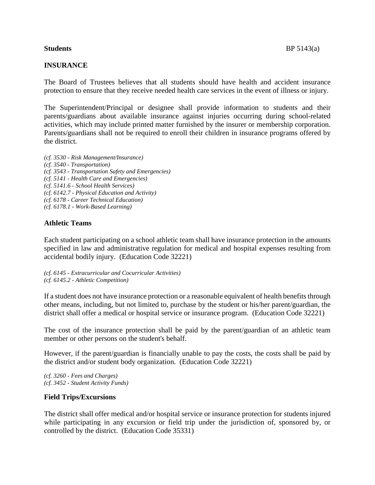# **INSURANCE**

The Board of Trustees believes that all students should have health and accident insurance protection to ensure that they receive needed health care services in the event of illness or injury.

The Superintendent/Principal or designee shall provide information to students and their parents/guardians about available insurance against injuries occurring during school-related activities, which may include printed matter furnished by the insurer or membership corporation. Parents/guardians shall not be required to enroll their children in insurance programs offered by the district.

*(cf. 3530 - Risk Management/Insurance) (cf. 3540 - Transportation) (cf. 3543 - Transportation Safety and Emergencies) (cf. 5141 - Health Care and Emergencies) (cf. 5141.6 - School Health Services) (cf. 6142.7 - Physical Education and Activity) (cf. 6178 - Career Technical Education) (cf. 6178.1 - Work-Based Learning)*

## **Athletic Teams**

Each student participating on a school athletic team shall have insurance protection in the amounts specified in law and administrative regulation for medical and hospital expenses resulting from accidental bodily injury. (Education Code 32221)

*(cf. 6145 - Extracurricular and Cocurricular Activities) (cf. 6145.2 - Athletic Competition)*

If a student does not have insurance protection or a reasonable equivalent of health benefits through other means, including, but not limited to, purchase by the student or his/her parent/guardian, the district shall offer a medical or hospital service or insurance program. (Education Code 32221)

The cost of the insurance protection shall be paid by the parent/guardian of an athletic team member or other persons on the student's behalf.

However, if the parent/guardian is financially unable to pay the costs, the costs shall be paid by the district and/or student body organization. (Education Code 32221)

*(cf. 3260 - Fees and Charges) (cf. 3452 - Student Activity Funds)*

## **Field Trips/Excursions**

The district shall offer medical and/or hospital service or insurance protection for students injured while participating in any excursion or field trip under the jurisdiction of, sponsored by, or controlled by the district. (Education Code 35331)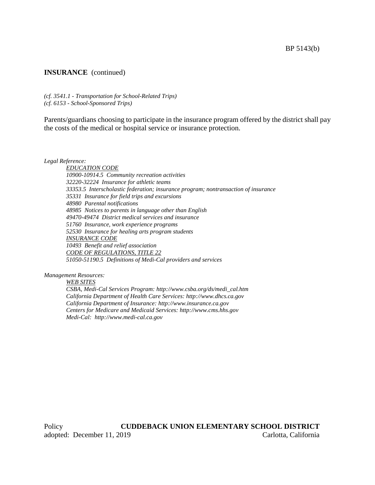## **INSURANCE** (continued)

*(cf. 3541.1 - Transportation for School-Related Trips) (cf. 6153 - School-Sponsored Trips)*

Parents/guardians choosing to participate in the insurance program offered by the district shall pay the costs of the medical or hospital service or insurance protection.

*Legal Reference:*

*EDUCATION CODE 10900-10914.5 Community recreation activities 32220-32224 Insurance for athletic teams 33353.5 Interscholastic federation; insurance program; nontransaction of insurance 35331 Insurance for field trips and excursions 48980 Parental notifications 48985 Notices to parents in language other than English 49470-49474 District medical services and insurance 51760 Insurance, work experience programs 52530 Insurance for healing arts program students INSURANCE CODE 10493 Benefit and relief association CODE OF REGULATIONS, TITLE 22 51050-51190.5 Definitions of Medi-Cal providers and services*

### *Management Resources:*

*WEB SITES*

*CSBA, Medi-Cal Services Program: http://www.csba.org/ds/medi\_cal.htm California Department of Health Care Services: http://www.dhcs.ca.gov California Department of Insurance: http://www.insurance.ca.gov Centers for Medicare and Medicaid Services: http://www.cms.hhs.gov Medi-Cal: http://www.medi-cal.ca.gov*

Policy **CUDDEBACK UNION ELEMENTARY SCHOOL DISTRICT** adopted: December 11, 2019 Carlotta, California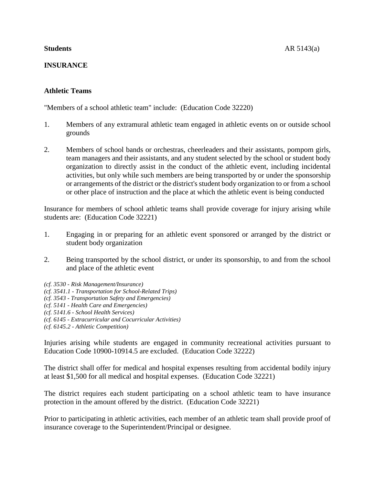# **INSURANCE**

# **Athletic Teams**

"Members of a school athletic team" include: (Education Code 32220)

- 1. Members of any extramural athletic team engaged in athletic events on or outside school grounds
- 2. Members of school bands or orchestras, cheerleaders and their assistants, pompom girls, team managers and their assistants, and any student selected by the school or student body organization to directly assist in the conduct of the athletic event, including incidental activities, but only while such members are being transported by or under the sponsorship or arrangements of the district or the district's student body organization to or from a school or other place of instruction and the place at which the athletic event is being conducted

Insurance for members of school athletic teams shall provide coverage for injury arising while students are: (Education Code 32221)

- 1. Engaging in or preparing for an athletic event sponsored or arranged by the district or student body organization
- 2. Being transported by the school district, or under its sponsorship, to and from the school and place of the athletic event
- *(cf. 3530 - Risk Management/Insurance)*
- *(cf. 3541.1 - Transportation for School-Related Trips)*
- *(cf. 3543 - Transportation Safety and Emergencies)*
- *(cf. 5141 - Health Care and Emergencies)*
- *(cf. 5141.6 - School Health Services)*
- *(cf. 6145 - Extracurricular and Cocurricular Activities)*
- *(cf. 6145.2 - Athletic Competition)*

Injuries arising while students are engaged in community recreational activities pursuant to Education Code 10900-10914.5 are excluded. (Education Code 32222)

The district shall offer for medical and hospital expenses resulting from accidental bodily injury at least \$1,500 for all medical and hospital expenses. (Education Code 32221)

The district requires each student participating on a school athletic team to have insurance protection in the amount offered by the district. (Education Code 32221)

Prior to participating in athletic activities, each member of an athletic team shall provide proof of insurance coverage to the Superintendent/Principal or designee.